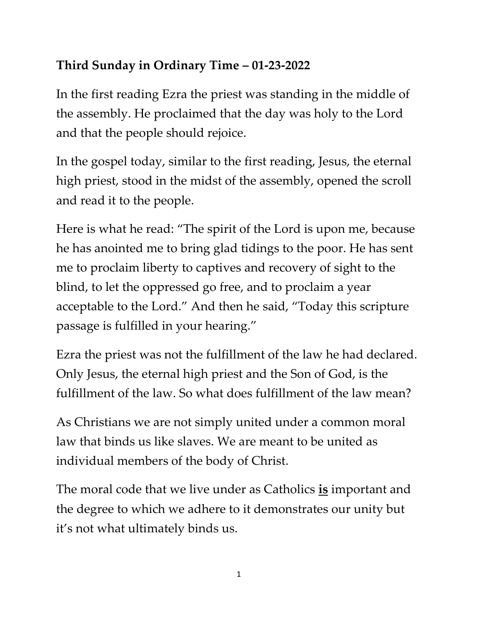## **Third Sunday in Ordinary Time – 01-23-2022**

In the first reading Ezra the priest was standing in the middle of the assembly. He proclaimed that the day was holy to the Lord and that the people should rejoice.

In the gospel today, similar to the first reading, Jesus, the eternal high priest, stood in the midst of the assembly, opened the scroll and read it to the people.

Here is what he read: "The spirit of the Lord is upon me, because he has anointed me to bring glad tidings to the poor. He has sent me to proclaim liberty to captives and recovery of sight to the blind, to let the oppressed go free, and to proclaim a year acceptable to the Lord." And then he said, "Today this scripture passage is fulfilled in your hearing."

Ezra the priest was not the fulfillment of the law he had declared. Only Jesus, the eternal high priest and the Son of God, is the fulfillment of the law. So what does fulfillment of the law mean?

As Christians we are not simply united under a common moral law that binds us like slaves. We are meant to be united as individual members of the body of Christ.

The moral code that we live under as Catholics **is** important and the degree to which we adhere to it demonstrates our unity but it's not what ultimately binds us.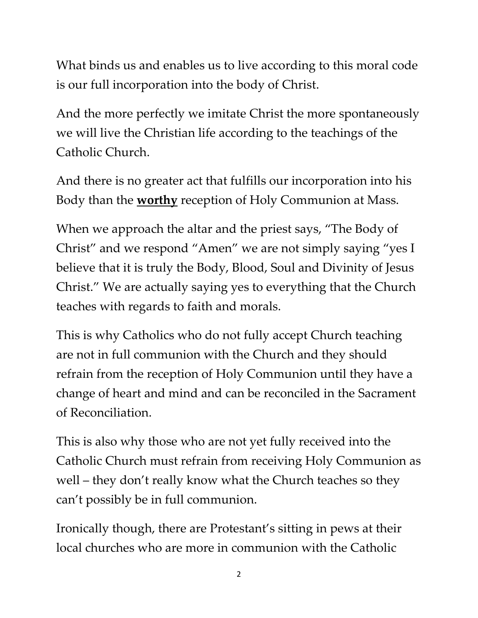What binds us and enables us to live according to this moral code is our full incorporation into the body of Christ.

And the more perfectly we imitate Christ the more spontaneously we will live the Christian life according to the teachings of the Catholic Church.

And there is no greater act that fulfills our incorporation into his Body than the **worthy** reception of Holy Communion at Mass.

When we approach the altar and the priest says, "The Body of Christ" and we respond "Amen" we are not simply saying "yes I believe that it is truly the Body, Blood, Soul and Divinity of Jesus Christ." We are actually saying yes to everything that the Church teaches with regards to faith and morals.

This is why Catholics who do not fully accept Church teaching are not in full communion with the Church and they should refrain from the reception of Holy Communion until they have a change of heart and mind and can be reconciled in the Sacrament of Reconciliation.

This is also why those who are not yet fully received into the Catholic Church must refrain from receiving Holy Communion as well – they don't really know what the Church teaches so they can't possibly be in full communion.

Ironically though, there are Protestant's sitting in pews at their local churches who are more in communion with the Catholic